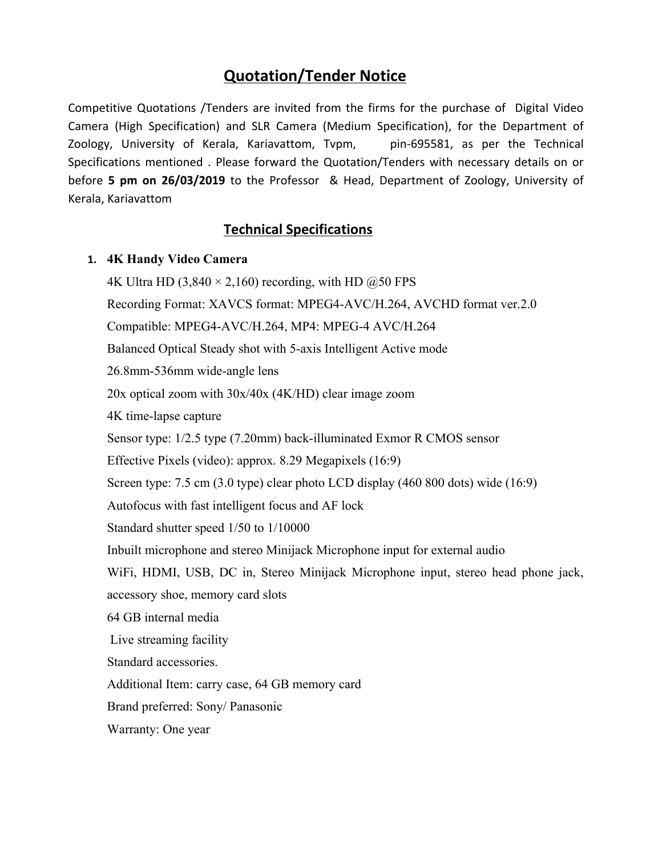## **Quotation/Tender Notice**

Competitive Quotations /Tenders are invited from the firms for the purchase of Digital Video Camera (High Specification) and SLR Camera (Medium Specification), for the Department of Zoology, University of Kerala, Kariavattom, Tvpm, pin-695581, as per the Technical Specifications mentioned . Please forward the Quotation/Tenders with necessary details on or before **5 pm on 26/03/2019** to the Professor & Head, Department of Zoology, University of Kerala, Kariavattom

## **Technical Specifications**

## **1. 4K Handy Video Camera**

4K Ultra HD (3,840  $\times$  2,160) recording, with HD ( $\tilde{\omega}$ 50 FPS Recording Format: XAVCS format: MPEG4-AVC/H.264, AVCHD format ver.2.0 Compatible: MPEG4-AVC/H.264, MP4: MPEG-4 AVC/H.264 Balanced Optical Steady shot with 5-axis Intelligent Active mode 26.8mm-536mm wide-angle lens 20x optical zoom with 30x/40x (4K/HD) clear image zoom 4K time-lapse capture Sensor type: 1/2.5 type (7.20mm) back-illuminated Exmor R CMOS sensor Effective Pixels (video): approx. 8.29 Megapixels (16:9) Screen type: 7.5 cm (3.0 type) clear photo LCD display (460 800 dots) wide (16:9) Autofocus with fast intelligent focus and AF lock Standard shutter speed 1/50 to 1/10000 Inbuilt microphone and stereo Minijack Microphone input for external audio WiFi, HDMI, USB, DC in, Stereo Minijack Microphone input, stereo head phone jack, accessory shoe, memory card slots 64 GB internal media Live streaming facility Standard accessories. Additional Item: carry case, 64 GB memory card Brand preferred: Sony/ Panasonic Warranty: One year